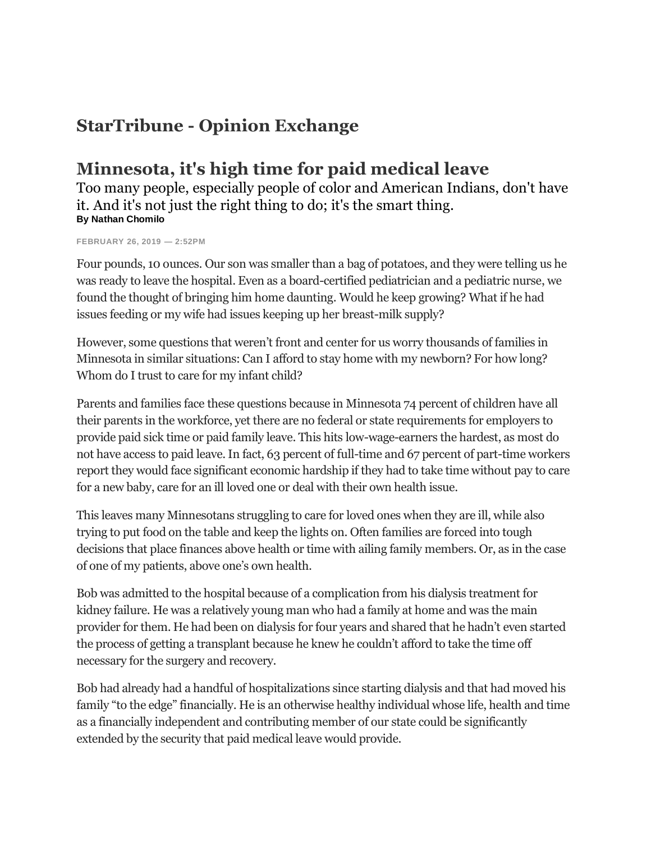## **StarTribune - Opinion Exchange**

## **Minnesota, it's high time for paid medical leave**

Too many people, especially people of color and American Indians, don't have it. And it's not just the right thing to do; it's the smart thing. **By Nathan Chomilo**

**FEBRUARY 26, 2019 — 2:52PM**

Four pounds, 10 ounces. Our son was smaller than a bag of potatoes, and they were telling us he was ready to leave the hospital. Even as a board-certified pediatrician and a pediatric nurse, we found the thought of bringing him home daunting. Would he keep growing? What if he had issues feeding or my wife had issues keeping up her breast-milk supply?

However, some questions that weren't front and center for us worry thousands of families in Minnesota in similar situations: Can I afford to stay home with my newborn? For how long? Whom do I trust to care for my infant child?

Parents and families face these questions because in Minnesota 74 percent of children have all their parents in the workforce, yet there are no federal or state requirements for employers to provide paid sick time or paid family leave. This hits low-wage-earners the hardest, as most do not have access to paid leave. In fact, 63 percent of full-time and 67 percent of part-time workers report they would face significant economic hardship if they had to take time without pay to care for a new baby, care for an ill loved one or deal with their own health issue.

This leaves many Minnesotans struggling to care for loved ones when they are ill, while also trying to put food on the table and keep the lights on. Often families are forced into tough decisions that place finances above health or time with ailing family members. Or, as in the case of one of my patients, above one's own health.

Bob was admitted to the hospital because of a complication from his dialysis treatment for kidney failure. He was a relatively young man who had a family at home and was the main provider for them. He had been on dialysis for four years and shared that he hadn't even started the process of getting a transplant because he knew he couldn't afford to take the time off necessary for the surgery and recovery.

Bob had already had a handful of hospitalizations since starting dialysis and that had moved his family "to the edge" financially. He is an otherwise healthy individual whose life, health and time as a financially independent and contributing member of our state could be significantly extended by the security that paid medical leave would provide.